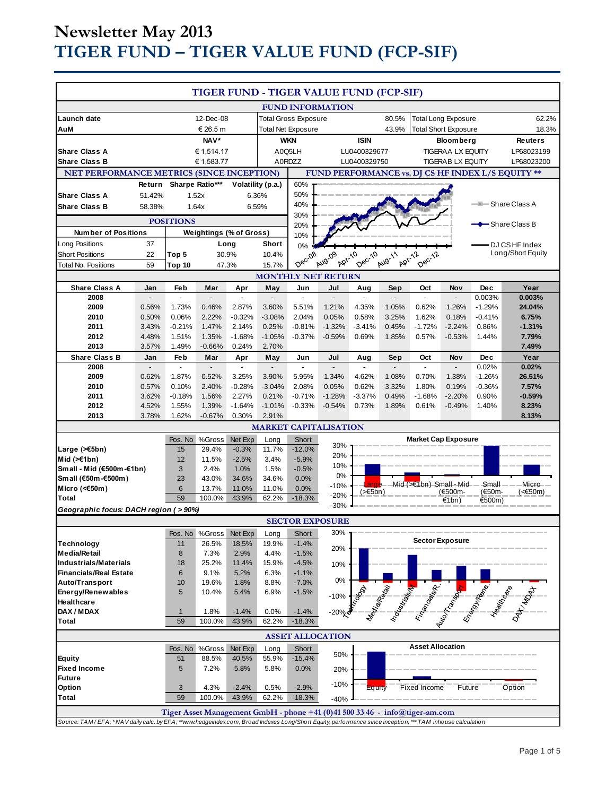# **Newsletter May 2013 TIGER FUND – TIGER VALUE FUND (FCP-SIF)**

| <b>TIGER FUND - TIGER VALUE FUND (FCP-SIF)</b>                                                                                                           |                          |                          |                         |                                                   |                             |                             |                              |                         |                                                 |                                                                             |                          |                            |                                                                                                                                                                                                                                |
|----------------------------------------------------------------------------------------------------------------------------------------------------------|--------------------------|--------------------------|-------------------------|---------------------------------------------------|-----------------------------|-----------------------------|------------------------------|-------------------------|-------------------------------------------------|-----------------------------------------------------------------------------|--------------------------|----------------------------|--------------------------------------------------------------------------------------------------------------------------------------------------------------------------------------------------------------------------------|
| Launch date                                                                                                                                              |                          |                          |                         |                                                   |                             |                             | <b>FUND INFORMATION</b>      |                         | 80.5%                                           |                                                                             |                          |                            |                                                                                                                                                                                                                                |
| AuM                                                                                                                                                      | 12-Dec-08<br>€ 26.5 m    |                          |                         | <b>Total Gross Exposure</b><br>Total Net Exposure |                             |                             |                              | 43.9%                   | <b>Total Long Exposure</b>                      |                                                                             |                          | 62.2%<br>18.3%             |                                                                                                                                                                                                                                |
|                                                                                                                                                          | NAV*                     |                          |                         | <b>WKN</b>                                        |                             |                             | <b>ISIN</b>                  |                         | <b>Total Short Exposure</b><br><b>Bloomberg</b> |                                                                             | <b>Reuters</b>           |                            |                                                                                                                                                                                                                                |
| <b>Share Class A</b>                                                                                                                                     | € 1,514.17               |                          |                         | A0Q5LH                                            |                             |                             | LU0400329677                 |                         | <b>TIGERAA LX EQUITY</b>                        |                                                                             |                          | LP68023199                 |                                                                                                                                                                                                                                |
| <b>Share Class B</b>                                                                                                                                     | € 1,583.77               |                          | A0RDZZ                  |                                                   |                             | LU0400329750                |                              | <b>TIGERABLX EQUITY</b> |                                                 | LP68023200                                                                  |                          |                            |                                                                                                                                                                                                                                |
| <b>NET PERFORMANCE METRICS (SINCE INCEPTION)</b>                                                                                                         |                          |                          |                         |                                                   |                             |                             |                              |                         |                                                 |                                                                             |                          |                            |                                                                                                                                                                                                                                |
| FUND PERFORMANCE vs. DJ CS HF INDEX L/S EQUITY **<br>60%<br>Sharpe Ratio***<br>Volatility (p.a.)<br>Return                                               |                          |                          |                         |                                                   |                             |                             |                              |                         |                                                 |                                                                             |                          |                            |                                                                                                                                                                                                                                |
| <b>Share Class A</b>                                                                                                                                     | 51.42%                   |                          | 1.52x                   | 6.36%                                             |                             | 50%                         |                              |                         |                                                 |                                                                             |                          |                            |                                                                                                                                                                                                                                |
| <b>Share Class B</b>                                                                                                                                     | 58.38%                   |                          | 1.64x                   | 6.59%                                             |                             | 40%                         |                              |                         |                                                 |                                                                             |                          | --                         | Share Class A                                                                                                                                                                                                                  |
| 30%                                                                                                                                                      |                          |                          |                         |                                                   |                             |                             |                              |                         |                                                 |                                                                             |                          |                            |                                                                                                                                                                                                                                |
| <b>POSITIONS</b><br><b>Weightings (% of Gross)</b>                                                                                                       |                          |                          |                         |                                                   | 20%                         |                             |                              |                         |                                                 |                                                                             |                          | <del>–</del> Share Class B |                                                                                                                                                                                                                                |
| <b>Number of Positions</b>                                                                                                                               |                          |                          |                         |                                                   |                             | 10%                         |                              |                         |                                                 |                                                                             |                          |                            |                                                                                                                                                                                                                                |
| <b>Long Positions</b>                                                                                                                                    | 37                       |                          |                         | Long                                              | Short                       | 0%                          |                              |                         |                                                 |                                                                             |                          |                            | DJ CSHF Index<br>Long/Short Equity                                                                                                                                                                                             |
| <b>Short Positions</b>                                                                                                                                   | 22                       | Top 5                    |                         | 30.9%                                             | 10.4%                       | Dec-08                      | Aug-09                       | Dec-10                  | Aug-11                                          | Dec-12                                                                      |                          |                            |                                                                                                                                                                                                                                |
| <b>ADI-10</b><br>Apr-12<br>59<br>47.3%<br>15.7%<br><b>Total No. Positions</b><br>Top 10<br><b>MONTHLY NET RETURN</b>                                     |                          |                          |                         |                                                   |                             |                             |                              |                         |                                                 |                                                                             |                          |                            |                                                                                                                                                                                                                                |
| Share Class A                                                                                                                                            | Jan                      | Feb                      | Mar                     | Apr                                               | May                         | Jun                         | Jul                          |                         | Sep                                             | Oct                                                                         | Nov                      | <b>Dec</b>                 | Year                                                                                                                                                                                                                           |
| 2008                                                                                                                                                     | $\overline{a}$           | $\overline{\phantom{a}}$ | $\overline{a}$          | $\overline{a}$                                    |                             | $\overline{a}$              | $\overline{a}$               | Aug                     |                                                 | $\mathbf{r}$                                                                | $\overline{\phantom{a}}$ | 0.003%                     | 0.003%                                                                                                                                                                                                                         |
| 2009                                                                                                                                                     | 0.56%                    | 1.73%                    | 0.46%                   | 2.87%                                             | 3.60%                       | 5.51%                       | 1.21%                        | 4.35%                   | 1.05%                                           | 0.62%                                                                       | 1.26%                    | $-1.29%$                   | 24.04%                                                                                                                                                                                                                         |
| 2010                                                                                                                                                     | 0.50%                    | 0.06%                    | 2.22%                   | $-0.32%$                                          | $-3.08%$                    | 2.04%                       | 0.05%                        | 0.58%                   | 3.25%                                           | 1.62%                                                                       | 0.18%                    | $-0.41%$                   | 6.75%                                                                                                                                                                                                                          |
| 2011                                                                                                                                                     | 3.43%                    | $-0.21%$                 | 1.47%                   | 2.14%                                             | 0.25%                       | $-0.81%$                    | $-1.32%$                     | $-3.41%$                | 0.45%                                           | $-1.72%$                                                                    | $-2.24%$                 | 0.86%                      | $-1.31%$                                                                                                                                                                                                                       |
| 2012                                                                                                                                                     | 4.48%                    | 1.51%                    | 1.35%                   | $-1.68%$                                          | $-1.05%$                    | $-0.37%$                    | $-0.59%$                     | 0.69%                   | 1.85%                                           | 0.57%                                                                       | $-0.53%$                 | 1.44%                      | 7.79%                                                                                                                                                                                                                          |
| 2013                                                                                                                                                     | 3.57%                    | 1.49%                    | $-0.66%$                | 0.24%                                             | 2.70%                       |                             |                              |                         |                                                 |                                                                             |                          |                            | 7.49%                                                                                                                                                                                                                          |
| <b>Share Class B</b>                                                                                                                                     | Jan                      | Feb                      | Mar                     | Apr                                               | May                         | Jun                         | Jul                          | Aug                     | Sep                                             | Oct                                                                         | Nov                      | <b>Dec</b>                 | Year                                                                                                                                                                                                                           |
| 2008                                                                                                                                                     | $\overline{\phantom{a}}$ | ÷.                       | $\frac{1}{2}$           | $\blacksquare$                                    | $\mathcal{L}_{\mathcal{A}}$ | $\mathcal{L}^{\mathcal{L}}$ | $\overline{\phantom{a}}$     | $\blacksquare$          |                                                 | $\mathcal{L}^{\mathcal{L}}$                                                 | $\overline{a}$           | 0.02%                      | 0.02%                                                                                                                                                                                                                          |
| 2009<br>2010                                                                                                                                             | 0.62%<br>0.57%           | 1.87%<br>0.10%           | 0.52%<br>2.40%          | 3.25%<br>$-0.28%$                                 | 3.90%<br>$-3.04%$           | 5.95%<br>2.08%              | 1.34%<br>0.05%               | 4.62%<br>0.62%          | 1.08%<br>3.32%                                  | 0.70%<br>1.80%                                                              | 1.38%<br>0.19%           | $-1.26%$<br>$-0.36%$       | 26.51%<br>7.57%                                                                                                                                                                                                                |
| 2011                                                                                                                                                     | 3.62%                    | $-0.18%$                 | 1.56%                   | 2.27%                                             | 0.21%                       | $-0.71%$                    | $-1.28%$                     | $-3.37%$                | 0.49%                                           | $-1.68%$                                                                    | $-2.20%$                 | 0.90%                      | $-0.59%$                                                                                                                                                                                                                       |
| 2012                                                                                                                                                     | 4.52%                    | 1.55%                    | 1.39%                   | $-1.64%$                                          | $-1.01%$                    | $-0.33%$                    | $-0.54%$                     | 0.73%                   | 1.89%                                           | 0.61%                                                                       | $-0.49%$                 | 1.40%                      | 8.23%                                                                                                                                                                                                                          |
| 2013                                                                                                                                                     | 3.78%                    | 1.62%                    | $-0.67%$                | 0.30%                                             | 2.91%                       |                             |                              |                         |                                                 |                                                                             |                          |                            | 8.13%                                                                                                                                                                                                                          |
|                                                                                                                                                          |                          |                          |                         |                                                   |                             |                             | <b>MARKET CAPITALISATION</b> |                         |                                                 |                                                                             |                          |                            |                                                                                                                                                                                                                                |
|                                                                                                                                                          |                          | Pos. No                  | %Gross                  | Net Exp                                           | Long                        | Short                       |                              |                         |                                                 | <b>Market Cap Exposure</b>                                                  |                          |                            |                                                                                                                                                                                                                                |
| Large $($ $\leq$ 5bn)                                                                                                                                    |                          | 15                       | 29.4%                   | $-0.3%$                                           | 11.7%                       | $-12.0%$                    | 30%                          |                         |                                                 |                                                                             |                          |                            |                                                                                                                                                                                                                                |
| Mid $(\ge 1$ bn)                                                                                                                                         |                          | 12                       | 11.5%                   | $-2.5%$                                           | 3.4%                        | $-5.9%$                     | 20%                          |                         |                                                 |                                                                             |                          |                            |                                                                                                                                                                                                                                |
| Small - Mid (€500m-€1bn)                                                                                                                                 |                          | 3                        | 2.4%                    | 1.0%                                              | 1.5%                        | $-0.5%$                     | 10%<br>0%                    |                         |                                                 |                                                                             |                          |                            |                                                                                                                                                                                                                                |
| Sm all (€50m-€500m)                                                                                                                                      |                          | 23                       | 43.0%                   | 34.6%                                             | 34.6%                       | 0.0%                        | $-10%$                       | arge                    |                                                 | $Mid (\ge f1bn)$ Small - Mid                                                |                          | -Small                     | Micro -                                                                                                                                                                                                                        |
| Micro (< $60$ m)                                                                                                                                         |                          | $6\phantom{1}$           | 13.7%                   | 11.0%                                             | 11.0%                       | 0.0%                        | -20%                         | $(\geq 5$ bn)           |                                                 |                                                                             | (€500m-                  | (€50m-                     | (<€50m)                                                                                                                                                                                                                        |
| <b>Total</b>                                                                                                                                             |                          | 59                       | 100.0%                  | 43.9%                                             | 62.2%                       | $-18.3%$                    | $-30%$                       |                         |                                                 |                                                                             | €1bn)                    | €500m)                     |                                                                                                                                                                                                                                |
| Geographic focus: DACH region (>90%)                                                                                                                     |                          |                          |                         |                                                   |                             |                             |                              |                         |                                                 |                                                                             |                          |                            |                                                                                                                                                                                                                                |
| <b>SECTOR EXPOSURE</b><br>30%                                                                                                                            |                          |                          |                         |                                                   |                             |                             |                              |                         |                                                 |                                                                             |                          |                            |                                                                                                                                                                                                                                |
| Technology                                                                                                                                               |                          | 11                       | Pos. No %Gross<br>26.5% | Net Exp<br>18.5%                                  | Long<br>19.9%               | Short<br>$-1.4%$            |                              |                         |                                                 |                                                                             | <b>Sector Exposure</b>   |                            |                                                                                                                                                                                                                                |
| <b>Media/Retail</b>                                                                                                                                      |                          | 8                        | 7.3%                    | 2.9%                                              | 4.4%                        | $-1.5%$                     | 20%                          |                         |                                                 |                                                                             |                          |                            |                                                                                                                                                                                                                                |
| <b>Industrials/Materials</b>                                                                                                                             |                          | 18                       | 25.2%                   | 11.4%                                             | 15.9%                       | $-4.5%$                     | 10%                          |                         |                                                 |                                                                             |                          |                            |                                                                                                                                                                                                                                |
| <b>Financials/Real Estate</b>                                                                                                                            |                          | 6                        | 9.1%                    | 5.2%                                              | 6.3%                        | $-1.1%$                     |                              |                         |                                                 |                                                                             |                          |                            |                                                                                                                                                                                                                                |
| Auto/Transport                                                                                                                                           |                          | 10                       | 19.6%                   | 1.8%                                              | 8.8%                        | $-7.0%$                     | 0%                           |                         |                                                 |                                                                             |                          |                            |                                                                                                                                                                                                                                |
| Energy/Renewables                                                                                                                                        |                          | 5                        | 10.4%                   | 5.4%                                              | 6.9%                        | $-1.5%$                     | $-10%$                       |                         |                                                 |                                                                             |                          |                            | Maginal Residence of the Contract of the Contract of the Contract of the Contract of the Contract of the Contract of the Contract of the Contract of the Contract of the Contract of the Contract of the Contract of the Contr |
| Healthcare                                                                                                                                               |                          |                          |                         |                                                   |                             |                             |                              |                         |                                                 |                                                                             |                          |                            |                                                                                                                                                                                                                                |
| DAX / MDAX<br><b>Total</b>                                                                                                                               |                          | $\mathbf{1}$<br>59       | 1.8%<br>100.0%          | $-1.4%$<br>43.9%                                  | 0.0%<br>62.2%               | $-1.4%$<br>$-18.3%$         | $-20%$                       |                         |                                                 |                                                                             |                          |                            |                                                                                                                                                                                                                                |
|                                                                                                                                                          |                          |                          |                         |                                                   |                             |                             |                              |                         |                                                 |                                                                             |                          |                            |                                                                                                                                                                                                                                |
| <b>ASSET ALLOCATION</b><br><b>Asset Allocation</b>                                                                                                       |                          |                          |                         |                                                   |                             |                             |                              |                         |                                                 |                                                                             |                          |                            |                                                                                                                                                                                                                                |
|                                                                                                                                                          |                          |                          | Pos. No %Gross          | Net Exp                                           | Long                        | Short                       | 50%                          |                         |                                                 |                                                                             |                          |                            |                                                                                                                                                                                                                                |
| <b>Equity</b>                                                                                                                                            |                          | 51                       | 88.5%                   | 40.5%                                             | 55.9%                       | $-15.4%$                    |                              |                         |                                                 |                                                                             |                          |                            |                                                                                                                                                                                                                                |
| <b>Fixed Income</b><br><b>Future</b>                                                                                                                     |                          | 5                        | 7.2%                    | 5.8%                                              | 5.8%                        | 0.0%                        | 20%                          |                         |                                                 |                                                                             |                          |                            |                                                                                                                                                                                                                                |
| Option                                                                                                                                                   |                          | 3                        | 4.3%                    | $-2.4%$                                           | 0.5%                        | $-2.9%$                     | $-10%$                       | Equity                  |                                                 | <b>Fixed Income</b>                                                         | Future                   |                            | Option                                                                                                                                                                                                                         |
| <b>Total</b>                                                                                                                                             |                          | 59                       | 100.0%                  | 43.9%                                             | 62.2%                       | $-18.3%$                    | $-40%$                       |                         |                                                 |                                                                             |                          |                            |                                                                                                                                                                                                                                |
|                                                                                                                                                          |                          |                          |                         |                                                   |                             |                             |                              |                         |                                                 |                                                                             |                          |                            |                                                                                                                                                                                                                                |
| Source: TAM/EFA; *NAV daily calc. by EFA; **www.hedgeindex.com, Broad Indexes Long/Short Equity, performance since inception; ***TAM inhouse calculation |                          |                          |                         |                                                   |                             |                             |                              |                         |                                                 | Tiger Asset Management GmbH - phone +41 (0)41 500 33 46 - info@tiger-am.com |                          |                            |                                                                                                                                                                                                                                |
|                                                                                                                                                          |                          |                          |                         |                                                   |                             |                             |                              |                         |                                                 |                                                                             |                          |                            |                                                                                                                                                                                                                                |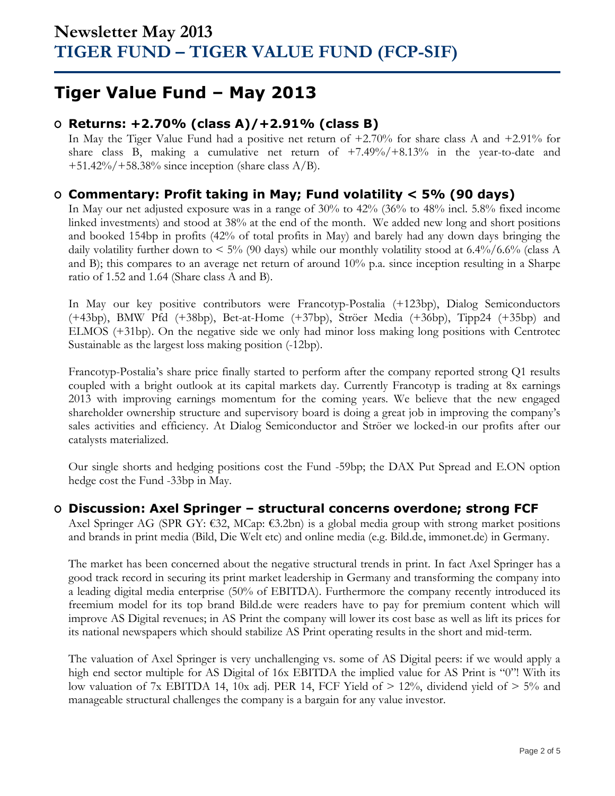## **Tiger Value Fund – May 2013**

### **O Returns: +2.70% (class A)/+2.91% (class B)**

In May the Tiger Value Fund had a positive net return of +2.70% for share class A and +2.91% for share class B, making a cumulative net return of +7.49%/+8.13% in the year-to-date and  $+51.42\%/+58.38\%$  since inception (share class A/B).

### **O Commentary: Profit taking in May; Fund volatility < 5% (90 days)**

In May our net adjusted exposure was in a range of 30% to 42% (36% to 48% incl. 5.8% fixed income linked investments) and stood at 38% at the end of the month. We added new long and short positions and booked 154bp in profits (42% of total profits in May) and barely had any down days bringing the daily volatility further down to  $\leq 5\%$  (90 days) while our monthly volatility stood at 6.4%/6.6% (class A and B); this compares to an average net return of around 10% p.a. since inception resulting in a Sharpe ratio of 1.52 and 1.64 (Share class A and B).

In May our key positive contributors were Francotyp-Postalia (+123bp), Dialog Semiconductors (+43bp), BMW Pfd (+38bp), Bet-at-Home (+37bp), Ströer Media (+36bp), Tipp24 (+35bp) and ELMOS (+31bp). On the negative side we only had minor loss making long positions with Centrotec Sustainable as the largest loss making position (-12bp).

Francotyp-Postalia's share price finally started to perform after the company reported strong Q1 results coupled with a bright outlook at its capital markets day. Currently Francotyp is trading at 8x earnings 2013 with improving earnings momentum for the coming years. We believe that the new engaged shareholder ownership structure and supervisory board is doing a great job in improving the company's sales activities and efficiency. At Dialog Semiconductor and Ströer we locked-in our profits after our catalysts materialized.

Our single shorts and hedging positions cost the Fund -59bp; the DAX Put Spread and E.ON option hedge cost the Fund -33bp in May.

#### **O Discussion: Axel Springer – structural concerns overdone; strong FCF**

Axel Springer AG (SPR GY: €32, MCap: €3.2bn) is a global media group with strong market positions and brands in print media (Bild, Die Welt etc) and online media (e.g. Bild.de, immonet.de) in Germany.

The market has been concerned about the negative structural trends in print. In fact Axel Springer has a good track record in securing its print market leadership in Germany and transforming the company into a leading digital media enterprise (50% of EBITDA). Furthermore the company recently introduced its freemium model for its top brand Bild.de were readers have to pay for premium content which will improve AS Digital revenues; in AS Print the company will lower its cost base as well as lift its prices for its national newspapers which should stabilize AS Print operating results in the short and mid-term.

The valuation of Axel Springer is very unchallenging vs. some of AS Digital peers: if we would apply a high end sector multiple for AS Digital of 16x EBITDA the implied value for AS Print is "0"! With its low valuation of 7x EBITDA 14, 10x adj. PER 14, FCF Yield of  $> 12\%$ , dividend yield of  $> 5\%$  and manageable structural challenges the company is a bargain for any value investor.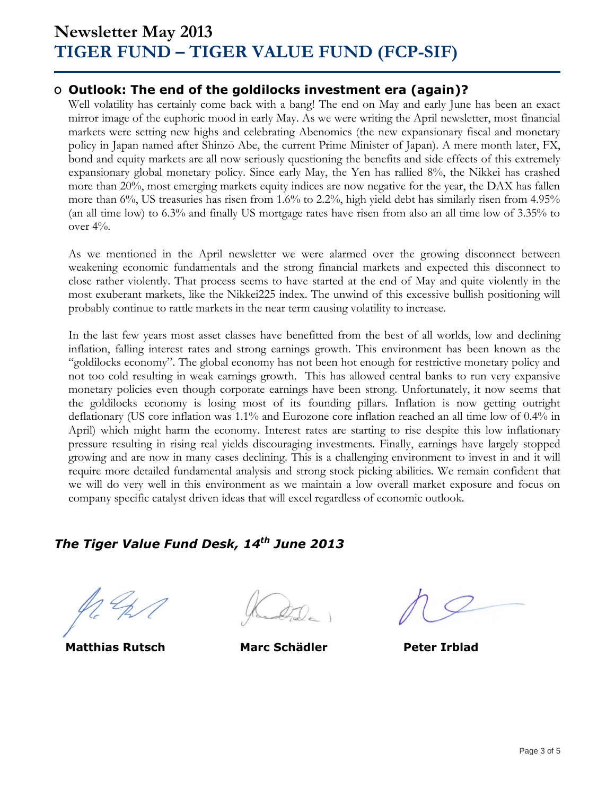## **Newsletter May 2013 TIGER FUND – TIGER VALUE FUND (FCP-SIF)**

#### **O Outlook: The end of the goldilocks investment era (again)?**

Well volatility has certainly come back with a bang! The end on May and early June has been an exact mirror image of the euphoric mood in early May. As we were writing the April newsletter, most financial markets were setting new highs and celebrating Abenomics (the new expansionary fiscal and monetary policy in Japan named after Shinzō Abe, the current Prime Minister of Japan). A mere month later, FX, bond and equity markets are all now seriously questioning the benefits and side effects of this extremely expansionary global monetary policy. Since early May, the Yen has rallied 8%, the Nikkei has crashed more than 20%, most emerging markets equity indices are now negative for the year, the DAX has fallen more than 6%, US treasuries has risen from 1.6% to 2.2%, high yield debt has similarly risen from 4.95% (an all time low) to 6.3% and finally US mortgage rates have risen from also an all time low of 3.35% to over 4%.

As we mentioned in the April newsletter we were alarmed over the growing disconnect between weakening economic fundamentals and the strong financial markets and expected this disconnect to close rather violently. That process seems to have started at the end of May and quite violently in the most exuberant markets, like the Nikkei225 index. The unwind of this excessive bullish positioning will probably continue to rattle markets in the near term causing volatility to increase.

In the last few years most asset classes have benefitted from the best of all worlds, low and declining inflation, falling interest rates and strong earnings growth. This environment has been known as the "goldilocks economy". The global economy has not been hot enough for restrictive monetary policy and not too cold resulting in weak earnings growth. This has allowed central banks to run very expansive monetary policies even though corporate earnings have been strong. Unfortunately, it now seems that the goldilocks economy is losing most of its founding pillars. Inflation is now getting outright deflationary (US core inflation was 1.1% and Eurozone core inflation reached an all time low of 0.4% in April) which might harm the economy. Interest rates are starting to rise despite this low inflationary pressure resulting in rising real yields discouraging investments. Finally, earnings have largely stopped growing and are now in many cases declining. This is a challenging environment to invest in and it will require more detailed fundamental analysis and strong stock picking abilities. We remain confident that we will do very well in this environment as we maintain a low overall market exposure and focus on company specific catalyst driven ideas that will excel regardless of economic outlook.

### *The Tiger Value Fund Desk, 14 th June 2013*

**Matthias Rutsch Marc Schädler Peter Irblad**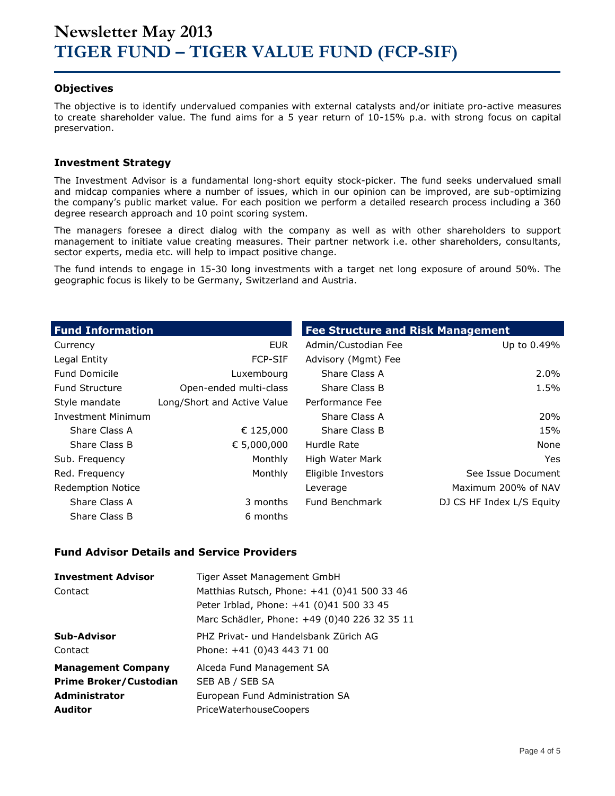#### **Objectives**

The objective is to identify undervalued companies with external catalysts and/or initiate pro-active measures to create shareholder value. The fund aims for a 5 year return of 10-15% p.a. with strong focus on capital preservation.

#### **Investment Strategy**

The Investment Advisor is a fundamental long-short equity stock-picker. The fund seeks undervalued small and midcap companies where a number of issues, which in our opinion can be improved, are sub-optimizing the company's public market value. For each position we perform a detailed research process including a 360 degree research approach and 10 point scoring system.

The managers foresee a direct dialog with the company as well as with other shareholders to support management to initiate value creating measures. Their partner network i.e. other shareholders, consultants, sector experts, media etc. will help to impact positive change.

The fund intends to engage in 15-30 long investments with a target net long exposure of around 50%. The geographic focus is likely to be Germany, Switzerland and Austria.

| <b>Fund Information</b>   |                             | <b>Fee Structure and Risk Management</b> |                           |  |  |  |  |
|---------------------------|-----------------------------|------------------------------------------|---------------------------|--|--|--|--|
| Currency                  | <b>EUR</b>                  | Admin/Custodian Fee                      | Up to 0.49%               |  |  |  |  |
| Legal Entity              | <b>FCP-SIF</b>              | Advisory (Mgmt) Fee                      |                           |  |  |  |  |
| <b>Fund Domicile</b>      | Luxembourg                  | Share Class A                            | 2.0%                      |  |  |  |  |
| <b>Fund Structure</b>     | Open-ended multi-class      | Share Class B                            | 1.5%                      |  |  |  |  |
| Style mandate             | Long/Short and Active Value | Performance Fee                          |                           |  |  |  |  |
| <b>Investment Minimum</b> |                             | Share Class A                            | <b>20%</b>                |  |  |  |  |
| Share Class A             | € 125,000                   | Share Class B                            | 15%                       |  |  |  |  |
| Share Class B             | € 5,000,000                 | Hurdle Rate                              | None                      |  |  |  |  |
| Sub. Frequency            | Monthly                     | High Water Mark                          | Yes.                      |  |  |  |  |
| Red. Frequency            | Monthly                     | Eligible Investors                       | See Issue Document        |  |  |  |  |
| <b>Redemption Notice</b>  |                             | Leverage                                 | Maximum 200% of NAV       |  |  |  |  |
| Share Class A             | 3 months                    | Fund Benchmark                           | DJ CS HF Index L/S Equity |  |  |  |  |
| Share Class B             | 6 months                    |                                          |                           |  |  |  |  |

#### **Fund Advisor Details and Service Providers**

| <b>Investment Advisor</b>     | Tiger Asset Management GmbH                  |
|-------------------------------|----------------------------------------------|
| Contact                       | Matthias Rutsch, Phone: +41 (0)41 500 33 46  |
|                               | Peter Irblad, Phone: +41 (0)41 500 33 45     |
|                               | Marc Schädler, Phone: +49 (0)40 226 32 35 11 |
| Sub-Advisor                   | PHZ Privat- und Handelsbank Zürich AG        |
| Contact                       | Phone: +41 (0)43 443 71 00                   |
| <b>Management Company</b>     | Alceda Fund Management SA                    |
| <b>Prime Broker/Custodian</b> | SEB AB / SEB SA                              |
| Administrator                 | European Fund Administration SA              |
| <b>Auditor</b>                | <b>PriceWaterhouseCoopers</b>                |